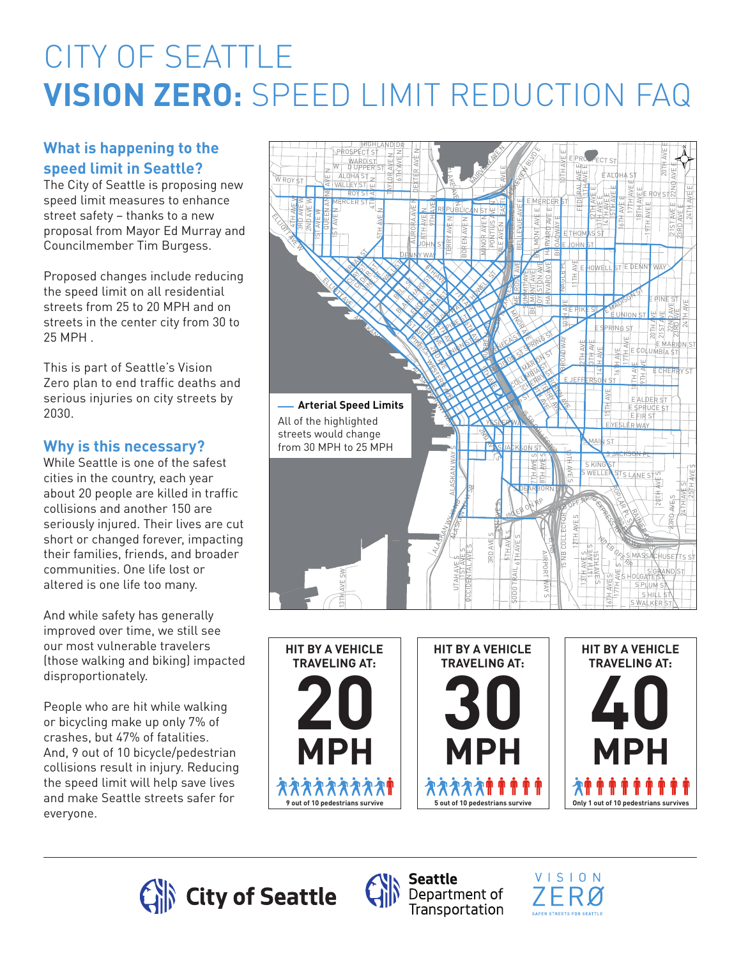# CITY OF SEATTLE **VISION ZERO:** SPEED LIMIT REDUCTION FAQ

# **What is happening to the speed limit in Seattle?**

The City of Seattle is proposing new speed limit measures to enhance street safety – thanks to a new proposal from Mayor Ed Murray and Councilmember Tim Burgess.

Proposed changes include reducing the speed limit on all residential streets from 25 to 20 MPH and on streets in the center city from 30 to 25 MPH .

This is part of Seattle's Vision Zero plan to end traffic deaths and serious injuries on city streets by 2030.

# **Why is this necessary?**

While Seattle is one of the safest cities in the country, each year about 20 people are killed in traffic collisions and another 150 are seriously injured. Their lives are cut short or changed forever, impacting their families, friends, and broader communities. One life lost or altered is one life too many.

And while safety has generally improved over time, we still see our most vulnerable travelers (those walking and biking) impacted disproportionately.

People who are hit while walking or bicycling make up only 7% of crashes, but 47% of fatalities. And, 9 out of 10 bicycle/pedestrian collisions result in injury. Reducing the speed limit will help save lives and make Seattle streets safer for everyone.













**Seattle**  $\sum_{\text{P}}$  Department of Transportation